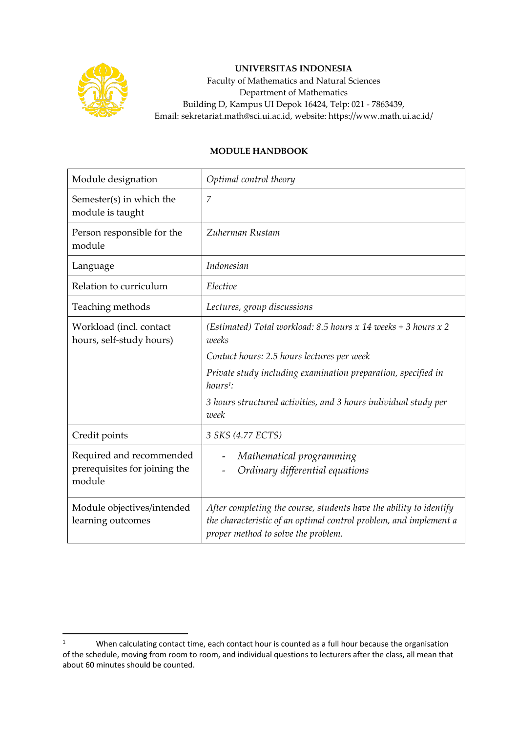

## **UNIVERSITAS INDONESIA**

Faculty of Mathematics and Natural Sciences Department of Mathematics Building D, Kampus UI Depok 16424, Telp: 021 - 7863439, Email: sekretariat.math@sci.ui.ac.id, website: https://www.math.ui.ac.id/

## **MODULE HANDBOOK**

| Module designation                                                  | Optimal control theory                                                                                                                                                         |
|---------------------------------------------------------------------|--------------------------------------------------------------------------------------------------------------------------------------------------------------------------------|
| Semester(s) in which the<br>module is taught                        | $\overline{7}$                                                                                                                                                                 |
| Person responsible for the<br>module                                | Zuherman Rustam                                                                                                                                                                |
| Language                                                            | Indonesian                                                                                                                                                                     |
| Relation to curriculum                                              | Elective                                                                                                                                                                       |
| Teaching methods                                                    | Lectures, group discussions                                                                                                                                                    |
| Workload (incl. contact<br>hours, self-study hours)                 | (Estimated) Total workload: 8.5 hours x 14 weeks + 3 hours x 2<br>weeks                                                                                                        |
|                                                                     | Contact hours: 2.5 hours lectures per week                                                                                                                                     |
|                                                                     | Private study including examination preparation, specified in<br>$hours1$ :                                                                                                    |
|                                                                     | 3 hours structured activities, and 3 hours individual study per<br>week                                                                                                        |
| Credit points                                                       | 3 SKS (4.77 ECTS)                                                                                                                                                              |
| Required and recommended<br>prerequisites for joining the<br>module | Mathematical programming<br>Ordinary differential equations                                                                                                                    |
| Module objectives/intended<br>learning outcomes                     | After completing the course, students have the ability to identify<br>the characteristic of an optimal control problem, and implement a<br>proper method to solve the problem. |

<sup>&</sup>lt;sup>1</sup> When calculating contact time, each contact hour is counted as a full hour because the organisation of the schedule, moving from room to room, and individual questions to lecturers after the class, all mean that about 60 minutes should be counted.